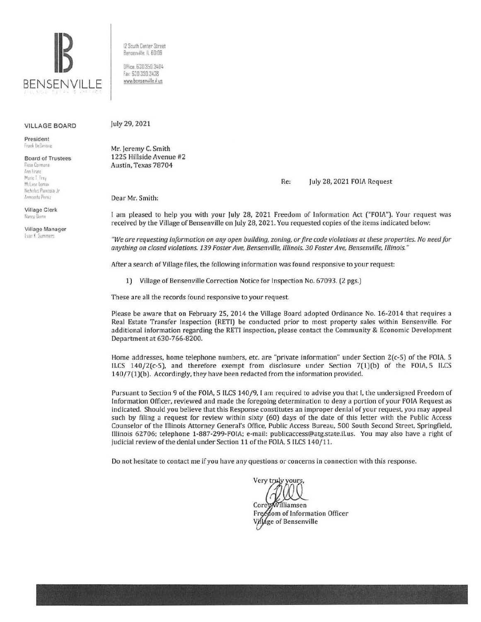

VILLAGE BOARD

President Frank DeSimone

Board of Trustees **Rosa Carmona !'mn lrurtz**  Marie T. Frey

McLane Loma» Nicholas Pamcola Jr Armando Perez

Village Clerk Nancy Burnn

Village Manager **Ivan K. Summers** 

12 South Center Street Benserville, IL 60106

DHice. 630 350 3404 fax 6JO 350 3438 www.bensenville.il.us

july 29, 2021

Mr. jeremy C. Smith 1225 Hillside Avenue #2 Austin, Texas 78704

Re: july 28, 2021 FOIA Request

Dear Mr. Smith:

I am pleased to help you with your july 28, 2021 Freedom of Information Act ("FOIA"). Your request was received by the Village of Bensenville on july 28,2021. You requested copies of the items indicated below:

*"We are requesting information on any open building, zoning, or fire code violations at these properties. No need for anything on closed violations. 139 Foster Ave, Bensenville, Illinois. 30 Foster Ave, Bensenville, Illinois. "* 

After a search of Village files, the following information was found responsive to your request:

1) Village of Bensenville Correction Notice for Inspection No. 67093. (2 pgs.)

These are all the records found responsive to your request.

Please be aware that on February 25, 2014 the Village Board adopted Ordinance No. 16-2014 that requires a Real Estate Transfer Inspection (RETI) be conducted prior to most property sales within Bensenville. For additional information regarding the RETI inspection, please contact the Community & Economic Development Department at 630-766-8200.

Home addresses, home telephone numbers, etc. are "private information" under Section 2(c-5) of the FOIA, 5 ILCS 140/2(c-5), and therefore exempt from disclosure under Section 7(1)(b) of the FOIA, 5 ILCS 140/7(1)(b). Accordingly, they have been redacted from the information provided.

Pursuant to Section 9 of the FOIA, 5 ILCS 140/9, I am required to advise you that I, the undersigned Freedom of Information Officer, reviewed and made the foregoing determination to deny a portion of your FOIA Request as indicated. Should you believe that this Response constitutes an improper denial of your request, you may appeal such by filing a request for review within sixty (60) days of the date of this letter with the Public Access Counselor of the Illinois Attorney General's Office, Public Access Bureau, 500 South Second Street, Springfield, Illinois 62706; telephone 1-887-299-FOIA; e-mail: publicaccess@atg.state.il.us. You may also have a right of judicial review of the denial under Section 11 of the FOIA, 5 ILCS 140/11.

Do not hesitate to contact me if you have any questions or concerns in connection with this response.

Very truly

illiamsen Free fom of Information Officer lage of Bensenville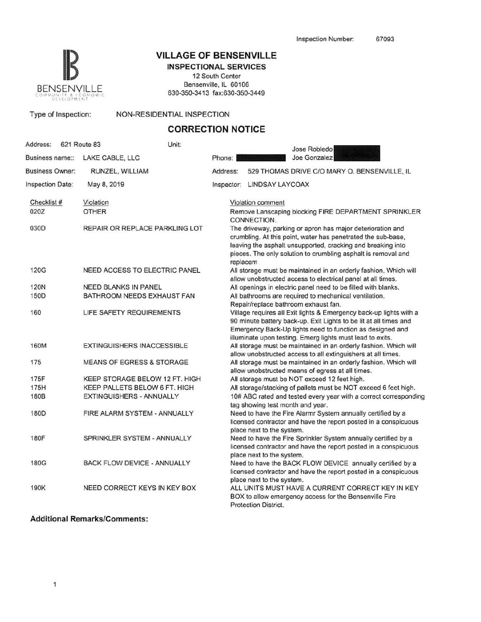

# **IB VILLAGE OF BENSENVILLE**

**INSPECTIONAL SERVICES**  12 South Center Bensenville, IL 60106 630-350-3413 fax:630-350-3449

Type of Inspection: NON-RESIDENTIAL INSPECTION

## **CORRECTION NOTICE**

| Address:               | 621 Route 83 |                 | Unit:                                |                                                                                                                                                                                                                                                                        | Jose Robledo                                                                                                                                                                                                                                                      |  |  |  |
|------------------------|--------------|-----------------|--------------------------------------|------------------------------------------------------------------------------------------------------------------------------------------------------------------------------------------------------------------------------------------------------------------------|-------------------------------------------------------------------------------------------------------------------------------------------------------------------------------------------------------------------------------------------------------------------|--|--|--|
| Business name::        |              | LAKE CABLE, LLC |                                      | Phone:                                                                                                                                                                                                                                                                 | Joe Gonzalez                                                                                                                                                                                                                                                      |  |  |  |
| <b>Business Owner:</b> |              |                 | RUNZEL, WILLIAM                      | Address:                                                                                                                                                                                                                                                               | 529 THOMAS DRIVE C/O MARY O. BENSENVILLE, IL                                                                                                                                                                                                                      |  |  |  |
| Inspection Date:       |              | May 8, 2019     |                                      |                                                                                                                                                                                                                                                                        | Inspector: LINDSAY LAYCOAX                                                                                                                                                                                                                                        |  |  |  |
| Checklist #            |              | Violation       |                                      |                                                                                                                                                                                                                                                                        | Violation comment                                                                                                                                                                                                                                                 |  |  |  |
| 020Z                   |              | <b>OTHER</b>    |                                      |                                                                                                                                                                                                                                                                        | Remove Lanscaping blocking FIRE DEPARTMENT SPRINKLER<br>CONNECTION.                                                                                                                                                                                               |  |  |  |
| 030D                   |              |                 | REPAIR OR REPLACE PARKLING LOT       | The driveway, parking or apron has major deterioration and<br>crumbling. At this point, water has penetrated the sub-base,<br>leaving the asphalt unsupported, cracking and breaking into<br>pieces. The only solution to crumbling asphalt is removal and<br>replacem |                                                                                                                                                                                                                                                                   |  |  |  |
| 120G                   |              |                 | NEED ACCESS TO ELECTRIC PANEL        |                                                                                                                                                                                                                                                                        | All storage must be maintained in an orderly fashion. Which will<br>allow unobstructed access to electrical panel at all times.                                                                                                                                   |  |  |  |
| 120N                   |              |                 | <b>NEED BLANKS IN PANEL</b>          |                                                                                                                                                                                                                                                                        | All openings in electric panel need to be filled with blanks.                                                                                                                                                                                                     |  |  |  |
| 150D                   |              |                 | BATHROOM NEEDS EXHAUST FAN           |                                                                                                                                                                                                                                                                        | All bathrooms are required to mechanical ventilation.<br>Repair/replace bathroom exhaust fan.                                                                                                                                                                     |  |  |  |
| 160                    |              |                 | LIFE SAFETY REQUIREMENTS             |                                                                                                                                                                                                                                                                        | Village requires all Exit lights & Emergency back-up lights with a<br>90 minute battery back-up. Exit Lights to be lit at all times and<br>Emergency Back-Up lights need to function as designed and<br>illuminate upon testing. Emerg lights must lead to exits. |  |  |  |
| 160M                   |              |                 | <b>EXTINGUISHERS INACCESSIBLE</b>    |                                                                                                                                                                                                                                                                        | All storage must be maintained in an orderly fashion. Which will<br>allow unobstructed access to all extinguishers at all times.                                                                                                                                  |  |  |  |
| 175                    |              |                 | <b>MEANS OF EGRESS &amp; STORAGE</b> |                                                                                                                                                                                                                                                                        | All storage must be maintained in an orderly fashion. Which will<br>allow unobstructed means of egress at all times.                                                                                                                                              |  |  |  |
| 175F                   |              |                 | KEEP STORAGE BELOW 12 FT. HIGH       |                                                                                                                                                                                                                                                                        | All storage must be NOT exceed 12 feet high.                                                                                                                                                                                                                      |  |  |  |
| 175H                   |              |                 | KEEP PALLETS BELOW 6 FT. HIGH        |                                                                                                                                                                                                                                                                        | All storage/stacking of pallets must be NOT exceed 6 feet high.                                                                                                                                                                                                   |  |  |  |
| <b>180B</b>            |              |                 | EXTINGUISHERS - ANNUALLY             |                                                                                                                                                                                                                                                                        | 10# ABC rated and tested every year with a correct corresponding<br>tag showing test month and year.                                                                                                                                                              |  |  |  |
| 180D                   |              |                 | FIRE ALARM SYSTEM - ANNUALLY         |                                                                                                                                                                                                                                                                        | Need to have the Fire Alarmr System annually certified by a<br>licensed contractor and have the report posted in a conspicuous<br>place next to the system.                                                                                                       |  |  |  |
| <b>180F</b>            |              |                 | SPRINKLER SYSTEM - ANNUALLY          |                                                                                                                                                                                                                                                                        | Need to have the Fire Sprinkler System annually certified by a<br>licensed contractor and have the report posted in a conspicuous<br>place next to the system.                                                                                                    |  |  |  |
| 180G                   |              |                 | <b>BACK FLOW DEVICE - ANNUALLY</b>   |                                                                                                                                                                                                                                                                        | Need to have the BACK FLOW DEVICE annually certified by a<br>licensed contractor and have the report posted in a conspicuous<br>place next to the system.                                                                                                         |  |  |  |
| 190K                   |              |                 | NEED CORRECT KEYS IN KEY BOX         |                                                                                                                                                                                                                                                                        | ALL UNITS MUST HAVE A CURRENT CORRECT KEY IN KEY<br>BOX to allow emergency access for the Bensenville Fire<br><b>Protection District.</b>                                                                                                                         |  |  |  |

#### **Additional Remarks/Comments:**